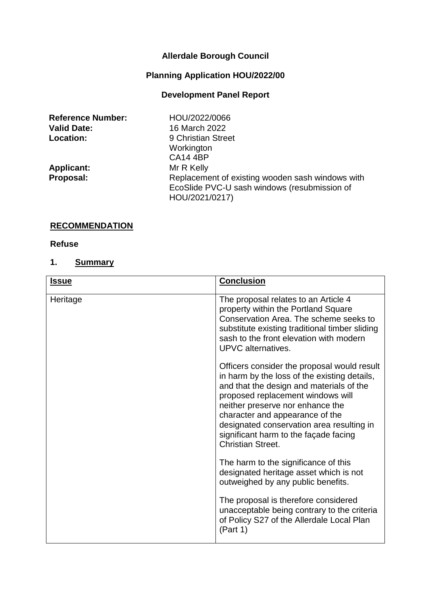# **Allerdale Borough Council**

# **Planning Application HOU/2022/00**

## **Development Panel Report**

| <b>Reference Number:</b> | HOU/2022/0066                                                                                                      |
|--------------------------|--------------------------------------------------------------------------------------------------------------------|
| <b>Valid Date:</b>       | 16 March 2022                                                                                                      |
| <b>Location:</b>         | 9 Christian Street                                                                                                 |
|                          | Workington                                                                                                         |
|                          | <b>CA14 4BP</b>                                                                                                    |
| <b>Applicant:</b>        | Mr R Kelly                                                                                                         |
| Proposal:                | Replacement of existing wooden sash windows with<br>EcoSlide PVC-U sash windows (resubmission of<br>HOU/2021/0217) |

## **RECOMMENDATION**

#### **Refuse**

## **1. Summary**

| <b>Issue</b> | <b>Conclusion</b>                                                                                                                                                                                                                                                                                                                                                     |
|--------------|-----------------------------------------------------------------------------------------------------------------------------------------------------------------------------------------------------------------------------------------------------------------------------------------------------------------------------------------------------------------------|
| Heritage     | The proposal relates to an Article 4<br>property within the Portland Square<br>Conservation Area. The scheme seeks to<br>substitute existing traditional timber sliding<br>sash to the front elevation with modern<br><b>UPVC</b> alternatives.                                                                                                                       |
|              | Officers consider the proposal would result<br>in harm by the loss of the existing details,<br>and that the design and materials of the<br>proposed replacement windows will<br>neither preserve nor enhance the<br>character and appearance of the<br>designated conservation area resulting in<br>significant harm to the facade facing<br><b>Christian Street.</b> |
|              | The harm to the significance of this<br>designated heritage asset which is not<br>outweighed by any public benefits.                                                                                                                                                                                                                                                  |
|              | The proposal is therefore considered<br>unacceptable being contrary to the criteria<br>of Policy S27 of the Allerdale Local Plan<br>(Part 1)                                                                                                                                                                                                                          |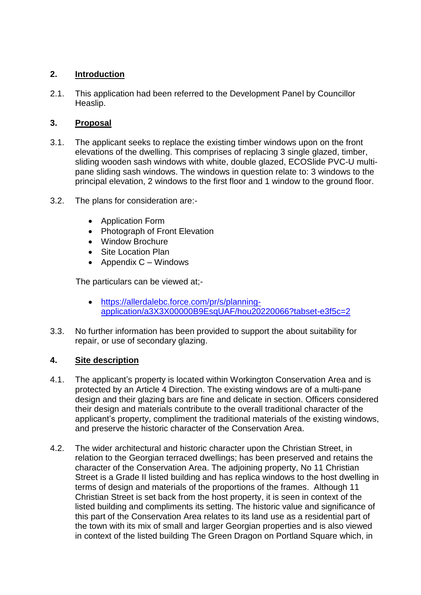## **2. Introduction**

2.1. This application had been referred to the Development Panel by Councillor Heaslip.

### **3. Proposal**

- 3.1. The applicant seeks to replace the existing timber windows upon on the front elevations of the dwelling. This comprises of replacing 3 single glazed, timber, sliding wooden sash windows with white, double glazed, ECOSlide PVC-U multipane sliding sash windows. The windows in question relate to: 3 windows to the principal elevation, 2 windows to the first floor and 1 window to the ground floor.
- 3.2. The plans for consideration are:-
	- Application Form
	- Photograph of Front Elevation
	- Window Brochure
	- Site Location Plan
	- Appendix  $C -$  Windows

The particulars can be viewed at;-

- [https://allerdalebc.force.com/pr/s/planning](https://allerdalebc.force.com/pr/s/planning-application/a3X3X00000B9EsqUAF/hou20220066?tabset-e3f5c=2)[application/a3X3X00000B9EsqUAF/hou20220066?tabset-e3f5c=2](https://allerdalebc.force.com/pr/s/planning-application/a3X3X00000B9EsqUAF/hou20220066?tabset-e3f5c=2)
- 3.3. No further information has been provided to support the about suitability for repair, or use of secondary glazing.

## **4. Site description**

- 4.1. The applicant's property is located within Workington Conservation Area and is protected by an Article 4 Direction. The existing windows are of a multi-pane design and their glazing bars are fine and delicate in section. Officers considered their design and materials contribute to the overall traditional character of the applicant's property, compliment the traditional materials of the existing windows, and preserve the historic character of the Conservation Area.
- 4.2. The wider architectural and historic character upon the Christian Street, in relation to the Georgian terraced dwellings; has been preserved and retains the character of the Conservation Area. The adjoining property, No 11 Christian Street is a Grade II listed building and has replica windows to the host dwelling in terms of design and materials of the proportions of the frames. Although 11 Christian Street is set back from the host property, it is seen in context of the listed building and compliments its setting. The historic value and significance of this part of the Conservation Area relates to its land use as a residential part of the town with its mix of small and larger Georgian properties and is also viewed in context of the listed building The Green Dragon on Portland Square which, in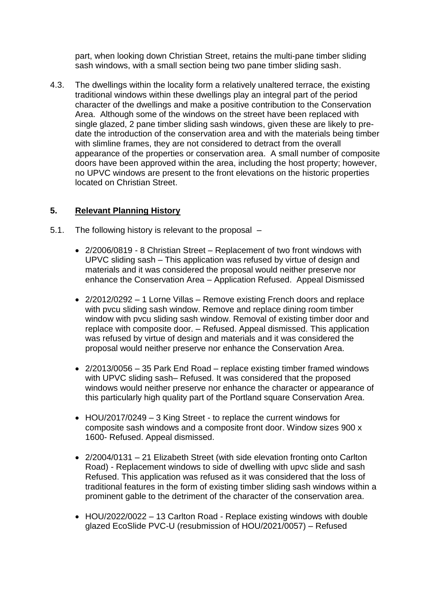part, when looking down Christian Street, retains the multi-pane timber sliding sash windows, with a small section being two pane timber sliding sash.

4.3. The dwellings within the locality form a relatively unaltered terrace, the existing traditional windows within these dwellings play an integral part of the period character of the dwellings and make a positive contribution to the Conservation Area. Although some of the windows on the street have been replaced with single glazed, 2 pane timber sliding sash windows, given these are likely to predate the introduction of the conservation area and with the materials being timber with slimline frames, they are not considered to detract from the overall appearance of the properties or conservation area. A small number of composite doors have been approved within the area, including the host property; however, no UPVC windows are present to the front elevations on the historic properties located on Christian Street.

## **5. Relevant Planning History**

- 5.1. The following history is relevant to the proposal
	- 2/2006/0819 8 Christian Street Replacement of two front windows with UPVC sliding sash – This application was refused by virtue of design and materials and it was considered the proposal would neither preserve nor enhance the Conservation Area – Application Refused. Appeal Dismissed
	- 2/2012/0292 1 Lorne Villas Remove existing French doors and replace with pvcu sliding sash window. Remove and replace dining room timber window with pvcu sliding sash window. Removal of existing timber door and replace with composite door. – Refused. Appeal dismissed. This application was refused by virtue of design and materials and it was considered the proposal would neither preserve nor enhance the Conservation Area.
	- 2/2013/0056 35 Park End Road replace existing timber framed windows with UPVC sliding sash– Refused. It was considered that the proposed windows would neither preserve nor enhance the character or appearance of this particularly high quality part of the Portland square Conservation Area.
	- HOU/2017/0249 3 King Street to replace the current windows for composite sash windows and a composite front door. Window sizes 900 x 1600- Refused. Appeal dismissed.
	- 2/2004/0131 21 Elizabeth Street (with side elevation fronting onto Carlton Road) - Replacement windows to side of dwelling with upvc slide and sash Refused. This application was refused as it was considered that the loss of traditional features in the form of existing timber sliding sash windows within a prominent gable to the detriment of the character of the conservation area.
	- HOU/2022/0022 13 Carlton Road Replace existing windows with double glazed EcoSlide PVC-U (resubmission of HOU/2021/0057) – Refused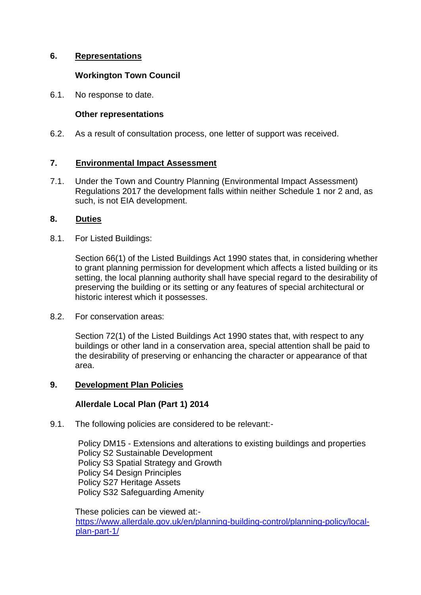## **6. Representations**

#### **Workington Town Council**

6.1. No response to date.

#### **Other representations**

6.2. As a result of consultation process, one letter of support was received.

## **7. Environmental Impact Assessment**

7.1. Under the Town and Country Planning (Environmental Impact Assessment) Regulations 2017 the development falls within neither Schedule 1 nor 2 and, as such, is not EIA development.

#### **8. Duties**

8.1. For Listed Buildings:

Section 66(1) of the Listed Buildings Act 1990 states that, in considering whether to grant planning permission for development which affects a listed building or its setting, the local planning authority shall have special regard to the desirability of preserving the building or its setting or any features of special architectural or historic interest which it possesses.

8.2. For conservation areas:

Section 72(1) of the Listed Buildings Act 1990 states that, with respect to any buildings or other land in a conservation area, special attention shall be paid to the desirability of preserving or enhancing the character or appearance of that area.

#### **9. Development Plan Policies**

## **Allerdale Local Plan (Part 1) 2014**

9.1. The following policies are considered to be relevant:-

Policy DM15 - Extensions and alterations to existing buildings and properties Policy S2 Sustainable Development Policy S3 Spatial Strategy and Growth Policy S4 Design Principles Policy S27 Heritage Assets Policy S32 Safeguarding Amenity

These policies can be viewed at: [https://www.allerdale.gov.uk/en/planning-building-control/planning-policy/local](https://www.allerdale.gov.uk/en/planning-building-control/planning-policy/local-plan-part-1/)[plan-part-1/](https://www.allerdale.gov.uk/en/planning-building-control/planning-policy/local-plan-part-1/)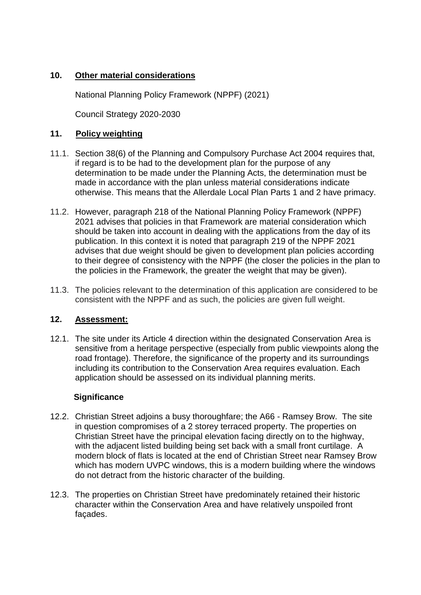### **10. Other material considerations**

National Planning Policy Framework (NPPF) (2021)

Council Strategy 2020-2030

### **11. Policy weighting**

- 11.1. Section 38(6) of the Planning and Compulsory Purchase Act 2004 requires that, if regard is to be had to the development plan for the purpose of any determination to be made under the Planning Acts, the determination must be made in accordance with the plan unless material considerations indicate otherwise. This means that the Allerdale Local Plan Parts 1 and 2 have primacy.
- 11.2. However, paragraph 218 of the National Planning Policy Framework (NPPF) 2021 advises that policies in that Framework are material consideration which should be taken into account in dealing with the applications from the day of its publication. In this context it is noted that paragraph 219 of the NPPF 2021 advises that due weight should be given to development plan policies according to their degree of consistency with the NPPF (the closer the policies in the plan to the policies in the Framework, the greater the weight that may be given).
- 11.3. The policies relevant to the determination of this application are considered to be consistent with the NPPF and as such, the policies are given full weight.

## **12. Assessment:**

12.1. The site under its Article 4 direction within the designated Conservation Area is sensitive from a heritage perspective (especially from public viewpoints along the road frontage). Therefore, the significance of the property and its surroundings including its contribution to the Conservation Area requires evaluation. Each application should be assessed on its individual planning merits.

#### **Significance**

- 12.2. Christian Street adjoins a busy thoroughfare; the A66 Ramsey Brow. The site in question compromises of a 2 storey terraced property. The properties on Christian Street have the principal elevation facing directly on to the highway, with the adjacent listed building being set back with a small front curtilage. A modern block of flats is located at the end of Christian Street near Ramsey Brow which has modern UVPC windows, this is a modern building where the windows do not detract from the historic character of the building.
- 12.3. The properties on Christian Street have predominately retained their historic character within the Conservation Area and have relatively unspoiled front façades.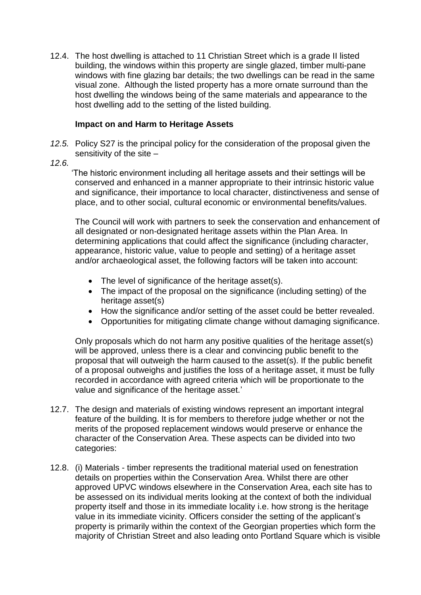12.4. The host dwelling is attached to 11 Christian Street which is a grade II listed building, the windows within this property are single glazed, timber multi-pane windows with fine glazing bar details; the two dwellings can be read in the same visual zone. Although the listed property has a more ornate surround than the host dwelling the windows being of the same materials and appearance to the host dwelling add to the setting of the listed building.

#### **Impact on and Harm to Heritage Assets**

*12.5.* Policy S27 is the principal policy for the consideration of the proposal given the sensitivity of the site –

*12.6.*

 'The historic environment including all heritage assets and their settings will be conserved and enhanced in a manner appropriate to their intrinsic historic value and significance, their importance to local character, distinctiveness and sense of place, and to other social, cultural economic or environmental benefits/values.

The Council will work with partners to seek the conservation and enhancement of all designated or non-designated heritage assets within the Plan Area. In determining applications that could affect the significance (including character, appearance, historic value, value to people and setting) of a heritage asset and/or archaeological asset, the following factors will be taken into account:

- The level of significance of the heritage asset(s).
- The impact of the proposal on the significance (including setting) of the heritage asset(s)
- How the significance and/or setting of the asset could be better revealed.
- Opportunities for mitigating climate change without damaging significance.

Only proposals which do not harm any positive qualities of the heritage asset(s) will be approved, unless there is a clear and convincing public benefit to the proposal that will outweigh the harm caused to the asset(s). If the public benefit of a proposal outweighs and justifies the loss of a heritage asset, it must be fully recorded in accordance with agreed criteria which will be proportionate to the value and significance of the heritage asset.'

- 12.7. The design and materials of existing windows represent an important integral feature of the building. It is for members to therefore judge whether or not the merits of the proposed replacement windows would preserve or enhance the character of the Conservation Area. These aspects can be divided into two categories:
- 12.8. (i) Materials timber represents the traditional material used on fenestration details on properties within the Conservation Area. Whilst there are other approved UPVC windows elsewhere in the Conservation Area, each site has to be assessed on its individual merits looking at the context of both the individual property itself and those in its immediate locality i.e. how strong is the heritage value in its immediate vicinity. Officers consider the setting of the applicant's property is primarily within the context of the Georgian properties which form the majority of Christian Street and also leading onto Portland Square which is visible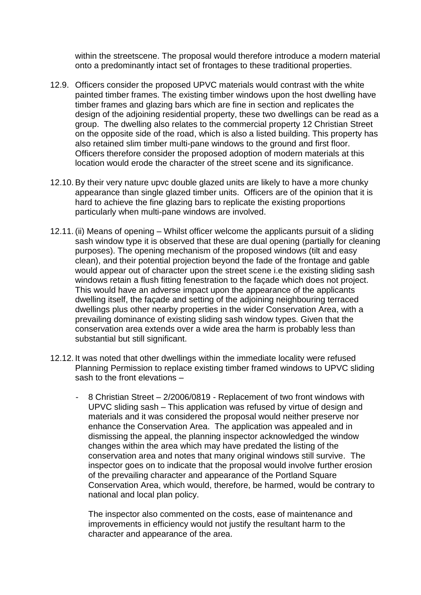within the streetscene. The proposal would therefore introduce a modern material onto a predominantly intact set of frontages to these traditional properties.

- 12.9. Officers consider the proposed UPVC materials would contrast with the white painted timber frames. The existing timber windows upon the host dwelling have timber frames and glazing bars which are fine in section and replicates the design of the adjoining residential property, these two dwellings can be read as a group. The dwelling also relates to the commercial property 12 Christian Street on the opposite side of the road, which is also a listed building. This property has also retained slim timber multi-pane windows to the ground and first floor. Officers therefore consider the proposed adoption of modern materials at this location would erode the character of the street scene and its significance.
- 12.10.By their very nature upvc double glazed units are likely to have a more chunky appearance than single glazed timber units. Officers are of the opinion that it is hard to achieve the fine glazing bars to replicate the existing proportions particularly when multi-pane windows are involved.
- 12.11.(ii) Means of opening Whilst officer welcome the applicants pursuit of a sliding sash window type it is observed that these are dual opening (partially for cleaning purposes). The opening mechanism of the proposed windows (tilt and easy clean), and their potential projection beyond the fade of the frontage and gable would appear out of character upon the street scene i.e the existing sliding sash windows retain a flush fitting fenestration to the façade which does not project. This would have an adverse impact upon the appearance of the applicants dwelling itself, the façade and setting of the adjoining neighbouring terraced dwellings plus other nearby properties in the wider Conservation Area, with a prevailing dominance of existing sliding sash window types. Given that the conservation area extends over a wide area the harm is probably less than substantial but still significant.
- 12.12. It was noted that other dwellings within the immediate locality were refused Planning Permission to replace existing timber framed windows to UPVC sliding sash to the front elevations –
	- 8 Christian Street 2/2006/0819 Replacement of two front windows with UPVC sliding sash – This application was refused by virtue of design and materials and it was considered the proposal would neither preserve nor enhance the Conservation Area. The application was appealed and in dismissing the appeal, the planning inspector acknowledged the window changes within the area which may have predated the listing of the conservation area and notes that many original windows still survive. The inspector goes on to indicate that the proposal would involve further erosion of the prevailing character and appearance of the Portland Square Conservation Area, which would, therefore, be harmed, would be contrary to national and local plan policy.

The inspector also commented on the costs, ease of maintenance and improvements in efficiency would not justify the resultant harm to the character and appearance of the area.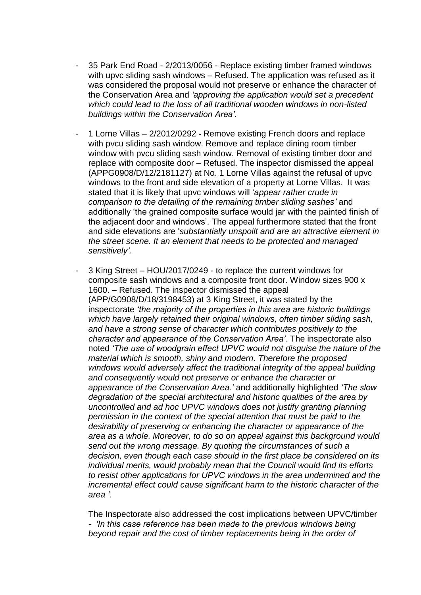- 35 Park End Road 2/2013/0056 Replace existing timber framed windows with upvc sliding sash windows – Refused. The application was refused as it was considered the proposal would not preserve or enhance the character of the Conservation Area and *'approving the application would set a precedent which could lead to the loss of all traditional wooden windows in non-listed buildings within the Conservation Area'.*
- 1 Lorne Villas 2/2012/0292 Remove existing French doors and replace with pvcu sliding sash window. Remove and replace dining room timber window with pvcu sliding sash window. Removal of existing timber door and replace with composite door – Refused. The inspector dismissed the appeal (APPG0908/D/12/2181127) at No. 1 Lorne Villas against the refusal of upvc windows to the front and side elevation of a property at Lorne Villas. It was stated that it is likely that upvc windows will '*appear rather crude in comparison to the detailing of the remaining timber sliding sashes'* and additionally 'the grained composite surface would jar with the painted finish of the adjacent door and windows'. The appeal furthermore stated that the front and side elevations are '*substantially unspoilt and are an attractive element in the street scene. It an element that needs to be protected and managed sensitively'.*
- 3 King Street HOU/2017/0249 to replace the current windows for composite sash windows and a composite front door. Window sizes 900 x 1600. – Refused. The inspector dismissed the appeal (APP/G0908/D/18/3198453) at 3 King Street, it was stated by the inspectorate *'the majority of the properties in this area are historic buildings which have largely retained their original windows, often timber sliding sash, and have a strong sense of character which contributes positively to the character and appearance of the Conservation Area'.* The inspectorate also noted *'The use of woodgrain effect UPVC would not disguise the nature of the material which is smooth, shiny and modern. Therefore the proposed windows would adversely affect the traditional integrity of the appeal building and consequently would not preserve or enhance the character or appearance of the Conservation Area.'* and additionally highlighted *'The slow degradation of the special architectural and historic qualities of the area by uncontrolled and ad hoc UPVC windows does not justify granting planning permission in the context of the special attention that must be paid to the desirability of preserving or enhancing the character or appearance of the area as a whole. Moreover, to do so on appeal against this background would send out the wrong message. By quoting the circumstances of such a decision, even though each case should in the first place be considered on its individual merits, would probably mean that the Council would find its efforts to resist other applications for UPVC windows in the area undermined and the incremental effect could cause significant harm to the historic character of the area '.*

The Inspectorate also addressed the cost implications between UPVC/timber *- 'In this case reference has been made to the previous windows being beyond repair and the cost of timber replacements being in the order of*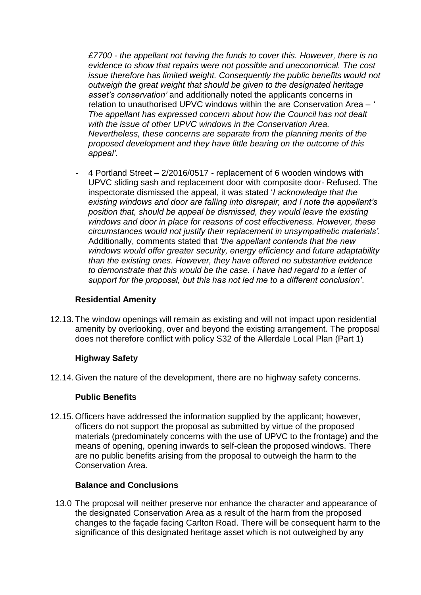*£7700 - the appellant not having the funds to cover this. However, there is no evidence to show that repairs were not possible and uneconomical. The cost issue therefore has limited weight. Consequently the public benefits would not outweigh the great weight that should be given to the designated heritage asset's conservation'* and additionally noted the applicants concerns in relation to unauthorised UPVC windows within the are Conservation Area – *' The appellant has expressed concern about how the Council has not dealt with the issue of other UPVC windows in the Conservation Area. Nevertheless, these concerns are separate from the planning merits of the proposed development and they have little bearing on the outcome of this appeal'.*

- 4 Portland Street – 2/2016/0517 - replacement of 6 wooden windows with UPVC sliding sash and replacement door with composite door- Refused. The inspectorate dismissed the appeal, it was stated '*I acknowledge that the existing windows and door are falling into disrepair, and I note the appellant's position that, should be appeal be dismissed, they would leave the existing windows and door in place for reasons of cost effectiveness. However, these circumstances would not justify their replacement in unsympathetic materials'.* Additionally, comments stated that *'the appellant contends that the new windows would offer greater security, energy efficiency and future adaptability than the existing ones. However, they have offered no substantive evidence to demonstrate that this would be the case. I have had regard to a letter of support for the proposal, but this has not led me to a different conclusion'*.

#### **Residential Amenity**

12.13. The window openings will remain as existing and will not impact upon residential amenity by overlooking, over and beyond the existing arrangement. The proposal does not therefore conflict with policy S32 of the Allerdale Local Plan (Part 1)

#### **Highway Safety**

12.14. Given the nature of the development, there are no highway safety concerns.

#### **Public Benefits**

12.15. Officers have addressed the information supplied by the applicant; however, officers do not support the proposal as submitted by virtue of the proposed materials (predominately concerns with the use of UPVC to the frontage) and the means of opening, opening inwards to self-clean the proposed windows. There are no public benefits arising from the proposal to outweigh the harm to the Conservation Area.

#### **Balance and Conclusions**

13.0 The proposal will neither preserve nor enhance the character and appearance of the designated Conservation Area as a result of the harm from the proposed changes to the façade facing Carlton Road. There will be consequent harm to the significance of this designated heritage asset which is not outweighed by any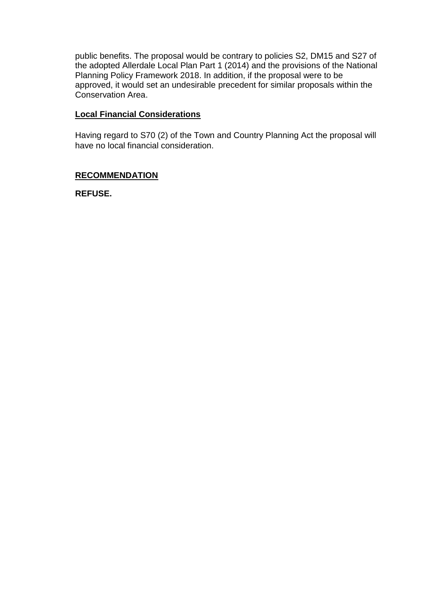public benefits. The proposal would be contrary to policies S2, DM15 and S27 of the adopted Allerdale Local Plan Part 1 (2014) and the provisions of the National Planning Policy Framework 2018. In addition, if the proposal were to be approved, it would set an undesirable precedent for similar proposals within the Conservation Area.

## **Local Financial Considerations**

Having regard to S70 (2) of the Town and Country Planning Act the proposal will have no local financial consideration.

#### **RECOMMENDATION**

**REFUSE.**